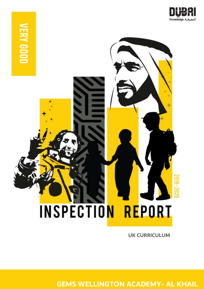



**UK CURRICULUM**

**GEMS WELLINGTON ACADEMY- AL KHAIL**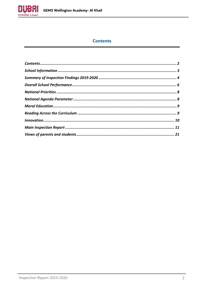

# **Contents**

<span id="page-1-0"></span>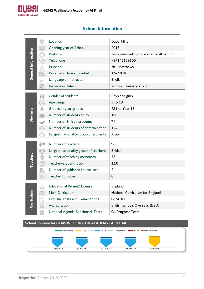

<span id="page-2-0"></span>

| <b>School Information</b> |  |
|---------------------------|--|
|                           |  |

|                     | 0         | Location                                            | Dubai Hills                           |
|---------------------|-----------|-----------------------------------------------------|---------------------------------------|
|                     | ê         | Opening year of School                              | 2013                                  |
|                     | ₩         | Website                                             | www.gemswellingtonacademy-alkhail.com |
|                     | Q         | Telephone                                           | +97145129100                          |
|                     | q         | Principal                                           | <b>Neil Matthews</b>                  |
| General Information | ij.       | Principal - Date appointed                          | 1/4/2018                              |
|                     | S         | Language of Instruction                             | English                               |
|                     | Ē         | <b>Inspection Dates</b>                             | 20 to 23 January 2020                 |
|                     |           | Gender of students                                  |                                       |
|                     | 88        |                                                     | Boys and girls<br>3 to 18             |
|                     | hSE       | Age range                                           | FS1 to Year 13                        |
| <b>Students</b>     | å         | Grades or year groups<br>Number of students on roll | 1006                                  |
|                     | 榔         | Number of Emirati students                          | 74                                    |
|                     |           | Number of students of determination                 | 124                                   |
|                     | 19        | Largest nationality group of students               | Arab                                  |
|                     |           |                                                     |                                       |
|                     | i''       | Number of teachers                                  | 98                                    |
|                     | ⊕         | Largest nationality group of teachers               | <b>British</b>                        |
|                     |           | Number of teaching assistants                       | 58                                    |
| <b>Teachers</b>     | 8년<br>888 | Teacher-student ratio                               | 1:10                                  |
|                     | s.        | Number of guidance counsellors                      | $\overline{2}$                        |
|                     | (Â)       | Teacher turnover                                    | 8                                     |
|                     |           | Educational Permit/ License                         | England                               |
|                     | ia        | Main Curriculum                                     | National Curriculum for England       |
|                     |           | <b>External Tests and Examinations</b>              | <b>GCSE IGCSE</b>                     |
| Curriculun          |           | Accreditation                                       | British schools Overseas (BSO)        |
|                     |           | National Agenda Benchmark Tests                     | <b>GL Progress Tests</b>              |
|                     |           |                                                     |                                       |
|                     |           |                                                     |                                       |

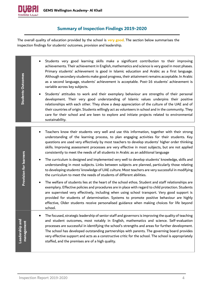

## **Summary of Inspection Findings 2019-2020**

<span id="page-3-0"></span>The overall quality of education provided by the school is **very good**. The section below summarises the inspection findings for students' outcomes, provision and leadership.

• Students very good learning skills make a significant contribution to their improving achievements. Their achievement in English, mathematics and science is very good in most phases. Primary students' achievement is good in Islamic education and Arabic as a first language. **Students Outcomes Students Outcomes** Although secondary students make good progress, their attainment remains acceptable. In Arabic as a second language, students' achievement is acceptable. Post-16 students' achievement is variable across key subjects. • Students' attitudes to work and their exemplary behaviour are strengths of their personal development. Their very good understanding of Islamic values underpins their positive relationships with each other. They show a deep appreciation of the culture of the UAE and of their countries of origin. Students willingly act as volunteers in school and in the community. They care for their school and are keen to explore and initiate projects related to environmental sustainability. • Teachers know their students very well and use this information, together with their strong understanding of the learning process, to plan engaging activities for their students. Key questions are used very effectively by most teachers to develop students' higher order thinking skills. Improving assessment processes are very effective in most subjects, but are not applied consistently to meet the needs of all students in Arabic as an additional language **Provision for learners Provision for learners** • The curriculum is designed and implemented very well to develop students' knowledge, skills and understanding in most subjects. Links between subjects are planned, particularly those relating to developing students' knowledge of UAE culture. Most teachers are very successful in modifying the curriculum to meet the needs of students of different abilities. The welfare of students lies at the heart of the school ethos. Student and staff relationships are exemplary. Effective policies and procedures are in place with regard to child protection. Students are supervised very effectively, including when using school transport. Very good support is provided for students of determination. Systems to promote positive behaviour are highly effective, Older students receive personalised guidance when making choices for life beyond school. • The focused, strategic leadership of senior staff and governors is improving the quality of teaching **Leadership and**  and student outcomes, most notably in English, mathematics and science. Self-evaluation Leadership and management **management** processes are successful in identifying the school's strengths and areas for further development. The school has developed outstanding partnerships with parents. The governing board provides very effective support and acts as a constructive critic for the school. The school is appropriately staffed, and the premises are of a high quality.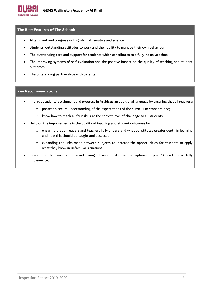

#### **The Best Features of The School:**

- Attainment and progress in English, mathematics and science.
- Students' outstanding attitudes to work and their ability to manage their own behaviour.
- The outstanding care and support for students which contributes to a fully inclusive school.
- The improving systems of self-evaluation and the positive impact on the quality of teaching and student outcomes.
- The outstanding partnerships with parents.

#### **Key Recommendations:**

- Improve students' attainment and progress in Arabic as an additional language by ensuring that all teachers:
	- o possess a secure understanding of the expectations of the curriculum standard and;
	- o know how to teach all four skills at the correct level of challenge to all students.
- Build on the improvements in the quality of teaching and student outcomes by:
	- o ensuring that all leaders and teachers fully understand what constitutes greater depth in learning and how this should be taught and assessed,
	- o expanding the links made between subjects to increase the opportunities for students to apply what they know in unfamiliar situations.
- Ensure that the plans to offer a wider range of vocational curriculum options for post-16 students are fully implemented.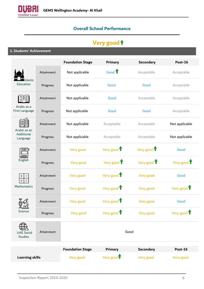<span id="page-5-0"></span>

# **Overall School Performance**

# **Very good**

**1. Students' Achievement**

|                                     |            | <b>Foundation Stage</b> | <b>Primary</b>         | <b>Secondary</b> | <b>Post-16</b> |
|-------------------------------------|------------|-------------------------|------------------------|------------------|----------------|
|                                     | Attainment | Not applicable          | Good 1                 | Acceptable       | Acceptable     |
| Islamic<br>Education                | Progress   | Not applicable          | Good                   | Good             | Acceptable     |
|                                     | Attainment | Not applicable          | Good                   | Acceptable       | Acceptable     |
| Arabic as a<br>First Language       | Progress   | Not applicable          | Good                   | Good             | Acceptable     |
| Arabic as an                        | Attainment | Not applicable          | Acceptable             | Acceptable       | Not applicable |
| Additional<br>Language              | Progress   | Not applicable          | Acceptable             | Acceptable       | Not applicable |
| ABC                                 | Attainment | Very good               | Very good 1            | Very good T      | Good           |
| English                             | Progress   | Very good               | Very good 1            | Very good 1      | Very good 1    |
|                                     | Attainment | Very good               | Very good 1            | Very good        | Good           |
| Mathematics                         | Progress   | Very good               | Very good 1            | Very good        | Very good 1    |
|                                     | Attainment | Very good               | Very good 1            | Very good        | Good           |
| Science                             | Progress   | Very good               | Very good 1            | Very good        | Very good 1    |
| <b>UAE Social</b><br><b>Studies</b> | Attainment |                         | Good                   |                  |                |
|                                     |            | <b>Foundation Stage</b> | <b>Primary</b>         | <b>Secondary</b> | <b>Post-16</b> |
| <b>Learning skills</b>              |            | Very good               | Very good <sup>1</sup> | Very good        | Very good      |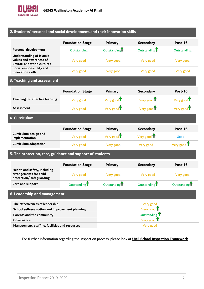

### **2. Students' personal and social development, and their innovation skills**

|                                                                                                 | <b>Foundation Stage</b>  | <b>Primary</b>           | <b>Secondary</b>         | Post-16               |
|-------------------------------------------------------------------------------------------------|--------------------------|--------------------------|--------------------------|-----------------------|
| <b>Personal development</b>                                                                     | Outstanding              | Outstanding <sup>1</sup> | Outstanding <sup>1</sup> | Outstanding           |
| <b>Understanding of Islamic</b><br>values and awareness of<br><b>Emirati and world cultures</b> | Very good                | Very good                | Very good                | Very good             |
| Social responsibility and<br>innovation skills                                                  | Very good                | Very good                | Very good                | Very good             |
| 3. Teaching and assessment                                                                      |                          |                          |                          |                       |
|                                                                                                 | <b>Foundation Stage</b>  | <b>Primary</b>           | <b>Secondary</b>         | Post-16               |
| <b>Teaching for effective learning</b>                                                          | Very good                | Very good I              | Very good I              | Very good             |
| <b>Assessment</b>                                                                               | Very good                | Very good                | Very good                | Very good             |
| 4. Curriculum                                                                                   |                          |                          |                          |                       |
|                                                                                                 | <b>Foundation Stage</b>  | <b>Primary</b>           | <b>Secondary</b>         | Post-16               |
| Curriculum design and<br>implementation                                                         | Very good                | Very good <sup>T</sup>   | Very good $\mathbf T$    | Good                  |
| <b>Curriculum adaptation</b>                                                                    | Very good                | Very good                | Very good                | Very good $\mathbf T$ |
| 5. The protection, care, guidance and support of students                                       |                          |                          |                          |                       |
|                                                                                                 | <b>Foundation Stage</b>  | <b>Primary</b>           | <b>Secondary</b>         | <b>Post-16</b>        |
| Health and safety, including<br>arrangements for child<br>protection/ safeguarding              | Very good                | Very good                | Very good                | Very good             |
| Care and support                                                                                | Outstanding <sup>T</sup> | Outstanding              | Outstanding <sup>T</sup> | Outstanding           |
| 6. Leadership and management                                                                    |                          |                          |                          |                       |
| The effectiveness of leadership                                                                 |                          |                          | Very good                |                       |
| School self-evaluation and improvement planning                                                 |                          |                          | Very good 1              |                       |
| Parents and the community                                                                       |                          |                          | Outstanding <sup>T</sup> |                       |
| Governance                                                                                      |                          |                          | Very good 1              |                       |
| Management, staffing, facilities and resources                                                  |                          |                          | Very good                |                       |

For further information regarding the inspection process, please look at **[UAE School Inspection Framework](https://www.khda.gov.ae/Areas/Administration/Content/FileUploads/Publication/Documents/English/20170112135640_KHDAINSPECTIONFRAMEWORKEN.pdf)**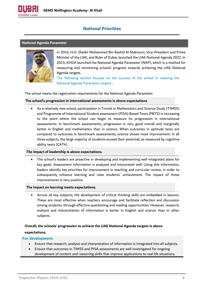

# **National Priorities**

#### <span id="page-7-1"></span><span id="page-7-0"></span>**National Agenda Parameter**



In 2014, H.H. Sheikh Mohammed Bin Rashid Al Maktoum, Vice-President and Prime Minister of the UAE, and Ruler of Dubai, launched the UAE National Agenda 2021. In 2015, KHDA launched the National Agenda Parameter (NAP), which is a method for measuring and monitoring schools' progress towards achieving the UAE National Agenda targets.

The following section focuses on the success of the school in meeting the National Agenda Parameter targets :

The school meets the registration requirements for the National Agenda Parameter.

#### **The school's progression in international assessments is above expectations**

• As a relatively new school, participation in Trends in Mathematics and Science Study (TIMSS) and Programme of International Student assessment (PISA) Based Tests (PBTS) is increasing to the point where the school can begin to measure its progression in international assessments. In benchmark assessments, progression is very good overall and marginally better in English and mathematics than in science. When outcomes in aptitude tests are compared to outcomes in benchmark assessments, science shows most improvement. In all three subjects, the large majority of students exceed their potential, as measured by cognitive ability tests (CAT4).

#### **The impact of leadership is above expectations.**

• The school's leaders are proactive in developing and implementing well-integrated plans for key goals. Assessment information is analysed and interpreted well. Using this information, leaders identify key priorities for improvement in teaching and curricular review, in order to subsequently enhance learning and raise students' achievement. The impact of these improvements is very positive.

#### **The impact on learning meets expectations.**

• Across all key subjects, the development of critical thinking skills are embedded in lessons. These are most effective when teachers encourage and facilitate reflection and discussion among students, through effective questioning and reading opportunities. However, research, analysis and interpretation of information is better in English and science than in other subjects.

#### **Overall, the schools' progression to achieve the UAE National Agenda targets is above**

#### **expectations.**

- Ensure that research, analysis and interpretation of information is integrated into all subjects.
- Ensure that outcomes in TIMSS and PISA assessments are well investigated for ongoing development of content and reasoning skills that improve applications to real life situations.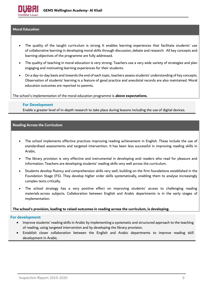

#### <span id="page-8-0"></span>**Moral Education**

- The quality of the taught curriculum is strong It enables learning experiences that facilitate students' use of collaborative learning in developing moral skills through discussion, debate and research. All key concepts and learning objectives of the programme are fully addressed.
- The quality of teaching in moral education is very strong. Teachers use a very wide variety of strategies and plan engaging and motivating learning experiences for their students.
- On a day-to-day basis and towards the end of each topic, teachers assess students' understanding of key concepts. Observation of students' learning is a feature of good practice and anecdotal records are also maintained. Moral education outcomes are reported to parents.

The school's implementation of the moral education programme is **above expectations.**

#### **For Development**

Enable a greater level of in-depth research to take place during lessons including the use of digital devices.

#### <span id="page-8-1"></span>**Reading Across the Curriculum**

- The school implements effective practices improving reading achievement in English. These include the use of standardised assessments and targeted intervention. It has been less successful in improving reading skills in Arabic.
- The library provision is very effective and instrumental in developing avid readers who read for pleasure and information. Teachers are developing students' reading skills very well across the curriculum.
- Students develop fluency and comprehension skills very well, building on the firm foundations established in the Foundation Stage (FS). They develop higher order skills systematically, enabling them to analyse increasingly complex texts critically.
- The school strategy has a very positive effect on improving students' access to challenging reading materials across subjects. Collaboration between English and Arabic departments is in the early stages of implementation.

#### **The school's provision, leading to raised outcomes in reading across the curriculum, is developing.**

- Improve students' reading skills in Arabic by implementing a systematic and structured approach to the teaching of reading, using targeted intervention and by developing the library provision.
- Establish closer collaboration between the English and Arabic departments to improve reading skill development in Arabic.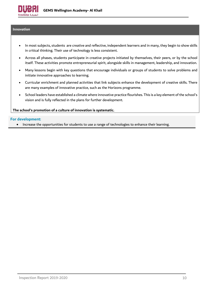

#### <span id="page-9-0"></span>**Innovation**

- In most subjects, students are creative and reflective, independent learners and in many, they begin to show skills in critical thinking. Their use of technology is less consistent.
- Across all phases, students participate in creative projects initiated by themselves, their peers, or by the school itself. These activities promote entrepreneurial spirit, alongside skills in management, leadership, and innovation.
- Many lessons begin with key questions that encourage individuals or groups of students to solve problems and initiate innovative approaches to learning.
- Curricular enrichment and planned activities that link subjects enhance the development of creative skills. There are many examples of innovative practice, such as the Horizons programme.
- School leaders have established a climate where innovative practice flourishes. This is a key element of the school's vision and is fully reflected in the plans for further development.

#### **The school's promotion of a culture of innovation is systematic.**

#### **For development:**

• Increase the opportunities for students to use a range of technologies to enhance their learning.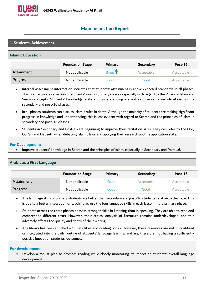

# <span id="page-10-0"></span>**Main Inspection Report**

### **1. Students' Achievement**

#### **Islamic Education**

|            | <b>Foundation Stage</b> | <b>Primary</b>                     | <b>Secondary</b> | Post-16    |
|------------|-------------------------|------------------------------------|------------------|------------|
| Attainment | Not applicable          | Good $\textcolor{red}{\textbf{T}}$ | Acceptable       | Acceptable |
| Progress   | Not applicable          | Good                               | Good             | Acceptable |

- Internal assessment information indicates that students' attainment is above expected standards in all phases. This is an accurate reflection of students' work in primary classes especially with regard to the Pillars of Islam and Seerah concepts. Students' knowledge, skills and understanding are not as observably well-developed in the secondary and post-16 phases.
- In all phases, students can discuss Islamic rules in depth. Although the majority of students are making significant progress in knowledge and understanding, this is less evident with regard to Seerah and the principles of Islam in secondary and post-16 classes.
- Students in Secondary and Post-16 are beginning to improve their recitation skills. They can refer to the Holy Qur'an and Hadeeth when debating Islamic laws and applying their research and life application skills.

#### **For Development:**

• Improve students' knowledge in Seerah and the principles of Islam, especially in Secondary and Post-16.

|            | <b>Foundation Stage</b> | Primary | <b>Secondary</b> | Post-16    |
|------------|-------------------------|---------|------------------|------------|
| Attainment | Not applicable          | Good    | Acceptable       | Acceptable |
| Progress   | Not applicable          | Good    | Good             | Acceptable |

#### **Arabic as a First Language**

- The language skills of primary students are better than secondary and post-16 students relative to their age. This is due to a better integration of teaching across the four language skills in each lesson in the primary phase.
- Students across the three phases possess stronger skills in listening than in speaking. They are able to read and comprehend different texts. However, their critical analysis of literature remains underdeveloped, and this adversely affects the quality and depth of their writing.
- The library has been enriched with new titles and reading books. However, these resources are not fully utilised or integrated into the daily routine of students' language learning and are, therefore, not having a sufficiently positive impact on students' outcomes.

#### **For development:**

• Develop a robust plan to promote reading while closely monitoring its impact on students' overall language development.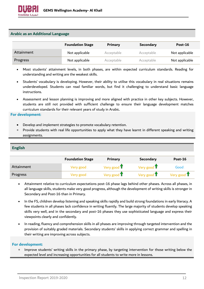

#### **Arabic as an Additional Language**

|            | <b>Foundation Stage</b> | Primary    | <b>Secondary</b> | Post-16        |
|------------|-------------------------|------------|------------------|----------------|
| Attainment | Not applicable          | Acceptable | Acceptable       | Not applicable |
| Progress   | Not applicable          | Acceptable | Acceptable       | Not applicable |

- Most students' attainment levels, in both phases, are within expected curriculum standards. Reading for understanding and writing are the weakest skills.
- Students' vocabulary is developing. However, their ability to utilise this vocabulary in real situations remains underdeveloped. Students can read familiar words, but find it challenging to understand basic language instructions.
- Assessment and lesson planning is improving and more aligned with practice in other key subjects. However, students are still not provided with sufficient challenge to ensure their language development matches curriculum standards for their relevant years of study in Arabic.

#### **For development:**

- Develop and implement strategies to promote vocabulary retention.
- Provide students with real life opportunities to apply what they have learnt in different speaking and writing assignments.

#### **English**

|            | <b>Foundation Stage</b> | <b>Primary</b>        | <b>Secondary</b>      | Post-16               |
|------------|-------------------------|-----------------------|-----------------------|-----------------------|
| Attainment | Very good.              | Very good $\mathbf T$ | Very good $\mathbf T$ | Good                  |
| Progress   | Very good               | Very good $\mathbf T$ | Very good $\mathbf T$ | Very good $\mathbf T$ |

- Attainment relative to curriculum expectations post-16 phase lags behind other phases. Across all phases, in all language skills, students make very good progress, although the development of writing skills is stronger in Secondary and Post-16 than in Primary.
- In the FS, children develop listening and speaking skills rapidly and build strong foundations in early literacy. A few students in all phases lack confidence in writing fluently. The large majority of students develop speaking skills very well, and in the secondary and post-16 phases they use sophisticated language and express their viewpoints clearly and confidently.
- In reading, fluency and comprehension skills in all phases are improving through targeted intervention and the provision of suitably graded materials. Secondary students' skills in applying correct grammar and spelling in their writing are improving across subjects.

#### **For development:**

• Improve students' writing skills in the primary phase, by targeting intervention for those writing below the expected level and increasing opportunities for all students to write more in lessons.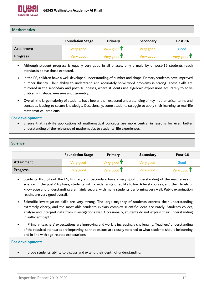

#### **Mathematics**

|            | <b>Foundation Stage</b> | Primary               | <b>Secondary</b> | Post-16               |
|------------|-------------------------|-----------------------|------------------|-----------------------|
| Attainment | Very good               | Very good $\mathbf T$ | Very good        | Good                  |
| Progress   | Very good               | Very good $\mathbf T$ | Very good.       | Very good $\mathbf T$ |

- Although student progress is equally very good in all phases, only a majority of post-16 students reach standards above those expected.
- In the FS, children have a well-developed understanding of number and shape. Primary students have improved number fluency. Their ability to understand and accurately solve word problems is strong. These skills are mirrored in the secondary and post-16 phases, where students use algebraic expressions accurately to solve problems in shape, measure and geometry.
- Overall, the large majority of students have better than expected understanding of key mathematical terms and concepts, leading to secure knowledge. Occasionally, some students struggle to apply their learning to real-life mathematical problems.

#### **For development:**

• Ensure that real-life applications of mathematical concepts are more central in lessons for even better understanding of the relevance of mathematics to students' life experiences.

#### **Science**

|            | <b>Foundation Stage</b> | <b>Primary</b>        | <b>Secondary</b> | <b>Post-16</b>        |
|------------|-------------------------|-----------------------|------------------|-----------------------|
| Attainment | Very good               | Very good $\mathbf T$ | Very good        | Good                  |
| Progress   | Very good               | Very good $\mathbf T$ | Very good        | Very good $\mathbf T$ |

- Students throughout the FS, Primary and Secondary have a very good understanding of the main areas of science. In the post-16 phase, students with a wide range of ability follow A level courses, and their levels of knowledge and understanding are mainly secure, with many students performing very well. Public examination results are very good overall.
- Scientific investigation skills are very strong. The large majority of students express their understanding extremely clearly, and the most able students explain complex scientific ideas accurately. Students collect, analyse and interpret data from investigations well. Occasionally, students do not explain their understanding in sufficient depth.
- In Primary, teachers' expectations are improving and work is increasingly challenging. Teachers' understanding of the required standards are improving, so that lessons are closely matched to what students should be learning and in line with age-related expectations.

#### **For development:**

• Improve students' ability to discuss and extend their depth of understanding.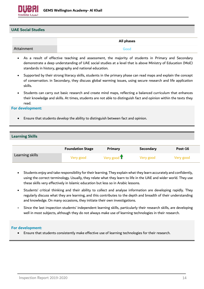

#### **UAE Social Studies**

|            | All phases |
|------------|------------|
| Attainment | Good       |

- As a result of effective teaching and assessment, the majority of students in Primary and Secondary demonstrate a deep understanding of UAE social studies at a level that is above Ministry of Education (MoE) standards in history, geography and national education.
- Supported by their strong literacy skills, students in the primary phase can read maps and explain the concept of conservation. in Secondary, they discuss global warming issues, using secure research and life application skills.
- Students can carry out basic research and create mind maps, reflecting a balanced curriculum that enhances their knowledge and skills. At times, students are not able to distinguish fact and opinion within the texts they read.

#### **For development:**

• Ensure that students develop the ability to distinguish between fact and opinion.

#### **Learning Skills**

|                 | <b>Foundation Stage</b> | <b>Primary</b>        | <b>Secondary</b> | Post-16   |
|-----------------|-------------------------|-----------------------|------------------|-----------|
| Learning skills | Very good               | Very good $\mathbf T$ | Very good        | Very good |

- Students enjoy and take responsibility for their learning. They explain what they learn accurately and confidently, using the correct terminology. Usually, they relate what they learn to life in the UAE and wider world. They use these skills very effectively in Islamic education but less so in Arabic lessons.
- Students' critical thinking and their ability to collect and analyse information are developing rapidly. They regularly discuss what they are learning, and this contributes to the depth and breadth of their understanding and knowledge. On many occasions, they initiate their own investigations.
- Since the last inspection students' independent learning skills, particularly their research skills, are developing well in most subjects, although they do not always make use of learning technologies in their research.

#### **For development:**

• Ensure that students consistently make effective use of learning technologies for their research.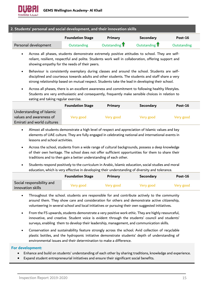| 2. Students' personal and social development, and their innovation skills |                         |                          |                          |             |
|---------------------------------------------------------------------------|-------------------------|--------------------------|--------------------------|-------------|
|                                                                           | <b>Foundation Stage</b> | Primary                  | Secondary                | Post-16     |
| Personal development                                                      | <b>Outstanding</b>      | Outstanding <sup>1</sup> | Outstanding <sup>1</sup> | Outstanding |

- Across all phases, students demonstrate extremely positive attitudes to school. They are selfreliant, resilient, respectful and polite. Students work well in collaboration, offering support and showing empathy for the needs of their peers.
- Behaviour is consistently exemplary during classes and around the school. Students are selfdisciplined and courteous towards adults and other students. The students and staff share a very strong relationship based on mutual respect. Students take the lead in developing their school.
- Across all phases, there is an excellent awareness and commitment to following healthy lifestyles. Students are very enthusiastic and consequently, frequently make sensible choices in relation to eating and taking regular exercise.

|                                                                                   | <b>Foundation Stage</b> | <b>Primary</b> | <b>Secondary</b> | Post-16   |
|-----------------------------------------------------------------------------------|-------------------------|----------------|------------------|-----------|
| Understanding of Islamic<br>values and awareness of<br>Emirati and world cultures | Very good               | Very good      | Very good        | Very good |

- Almost all students demonstrate a high level of respect and appreciation of Islamic values and key elements of UAE culture. They are fully engaged in celebrating national and international events in lessons and school activities.
- Across the school, students from a wide range of cultural backgrounds, possess a deep knowledge of their own heritage. The school does not offer sufficient opportunities for them to share their traditions and to then gain a better understanding of each other.
- Students respond positively to the curriculum in Arabic, Islamic education, social studies and moral education, which is very effective in developing their understanding of diversity and tolerance.

|                                                | <b>Foundation Stage</b> | <b>Primary</b> | <b>Secondary</b> | $Post-16$ |
|------------------------------------------------|-------------------------|----------------|------------------|-----------|
| Social responsibility and<br>innovation skills | Very good               | Very good      | Very good        | Very good |

- Throughout the school, students are responsible for and contribute actively to the community around them. They show care and consideration for others and demonstrate active citizenship, volunteering in several school and local initiatives or pursuing their own suggested initiatives.
- From the FS upwards, students demonstrate a very positive work ethic. They are highly resourceful, innovative, and creative. Student voice is evident through the students' council and students' surveys, enabling them to develop their leadership, management, and communication skills.
- Conservation and sustainability feature strongly across the school. Avid collection of recyclable plastic bottles, and the hydroponic initiative demonstrate students' depth of understanding of environmental issues and their determination to make a difference.

- Enhance and build on students' understanding of each other by sharing traditions, knowledge and experience.
- Expand student entrepreneurial initiatives and ensure their significant social benefits.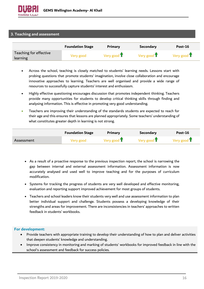

#### **3. Teaching and assessment**

|                                    | <b>Foundation Stage</b> | Primary               | <b>Secondary</b>      | $Post-16$             |
|------------------------------------|-------------------------|-----------------------|-----------------------|-----------------------|
| Teaching for effective<br>learning | Very good               | Very good $\mathbf T$ | Very good $\mathbf T$ | Very good $\mathbf T$ |

- Across the school, teaching is closely matched to students' learning needs. Lessons start with probing questions that promote students' imagination, involve close collaboration and encourage innovative approaches to learning. Teachers are well organised and provide a wide range of resources to successfully capture students' interest and enthusiasm.
- Highly effective questioning encourages discussion that promotes independent thinking. Teachers provide many opportunities for students to develop critical thinking skills through finding and analysing information. This is effective in promoting very good understanding.
- Teachers are improving their understanding of the standards students are expected to reach for their age and this ensures that lessons are planned appropriately. Some teachers' understanding of what constitutes greater depth in learning is not strong.

|            | <b>Foundation Stage</b> | Primary               | <b>Secondary</b>      | Post-16               |
|------------|-------------------------|-----------------------|-----------------------|-----------------------|
| Assessment | Very good               | Very good $\mathbf T$ | Very good $\mathbf T$ | Very good $\mathbf T$ |

- As a result of a proactive response to the previous inspection report, the school is narrowing the gap between internal and external assessment information. Assessment information is now accurately analysed and used well to improve teaching and for the purposes of curriculum modification.
- Systems for tracking the progress of students are very well developed and effective monitoring, evaluation and reporting support improved achievement for most groups of students.
- Teachers and school leaders know their students very well and use assessment information to plan better individual support and challenge. Students possess a developing knowledge of their strengths and areas for improvement. There are inconsistencies in teachers' approaches to written feedback in students' workbooks.

- Provide teachers with appropriate training to develop their understanding of how to plan and deliver activities that deepen students' knowledge and understanding.
- Improve consistency in monitoring and marking of students' workbooks for improved feedback in line with the school's assessment and feedback for success policies.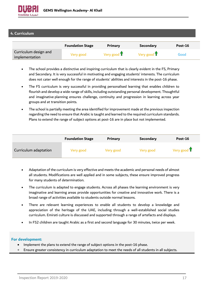

#### **4. Curriculum**

|                                         | <b>Foundation Stage</b> | <b>Primary</b>        | <b>Secondary</b>      | Post-16 |
|-----------------------------------------|-------------------------|-----------------------|-----------------------|---------|
| Curriculum design and<br>implementation | Very good               | Very good $\mathbf T$ | Very good $\mathbf T$ | Good    |

- The school provides a distinctive and inspiring curriculum that is clearly evident in the FS, Primary and Secondary. It is very successful in motivating and engaging students' interests. The curriculum does not cater well enough for the range of students' abilities and interests in the post-16 phase.
- The FS curriculum is very successful in providing personalised learning that enables children to flourish and develop a wide range of skills, including outstanding personal development. Thoughtful and imaginative planning ensures challenge, continuity and progression in learning across year groups and at transition points.
- The school is partially meeting the area identified for improvement made at the previous inspection regarding the need to ensure that Arabic is taught and learned to the required curriculum standards. Plans to extend the range of subject options at post-16 are in place but not implemented.

|                       | <b>Foundation Stage</b> | Primary   | <b>Secondary</b> | Post-16               |
|-----------------------|-------------------------|-----------|------------------|-----------------------|
| Curriculum adaptation | Very good               | Very good | Very good        | Very good $\mathbf T$ |

- Adaptation of the curriculum is very effective and meets the academic and personal needs of almost all students. Modifications are well applied and in some subjects, these ensure improved progress for many students of determination.
- The curriculum is adapted to engage students. Across all phases the learning environment is very imaginative and learning areas provide opportunities for creative and innovative work. There is a broad range of activities available to students outside normal lessons.
- There are relevant learning experiences to enable all students to develop a knowledge and appreciation of the heritage of the UAE, including through a well-established social studies curriculum. Emirati culture is discussed and supported through a range of artefacts and displays.
- In FS2 children are taught Arabic as a first and second language for 30 minutes, twice per week.

- Implement the plans to extend the range of subject options in the post-16 phase.
- Ensure greater consistency in curriculum adaptation to meet the needs of all students in all subjects.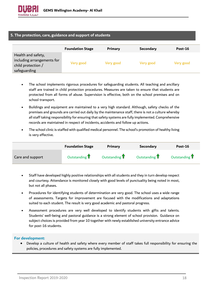

#### **5. The protection, care, guidance and support of students**

|                                                                                        | <b>Foundation Stage</b> | Primary   | <b>Secondary</b> | Post-16   |
|----------------------------------------------------------------------------------------|-------------------------|-----------|------------------|-----------|
| Health and safety,<br>including arrangements for<br>child protection /<br>safeguarding | Very good               | Very good | Very good        | Very good |

- The school implements rigorous procedures for safeguarding students. All teaching and ancillary staff are trained in child protection procedures. Measures are taken to ensure that students are protected from all forms of abuse. Supervision is effective, both on the school premises and on school transport.
- Buildings and equipment are maintained to a very high standard. Although, safety checks of the premises and grounds are carried out daily by the maintenance staff, there is not a culture whereby all staff taking responsibility for ensuring that safety systems are fully implemented. Comprehensive records are maintained in respect of incidents, accidents and follow up actions.
- The school clinic is staffed with qualified medical personnel. The school's promotion of healthy living is very effective.

|                  | <b>Foundation Stage</b> | Primary       | <b>Secondary</b> | <b>Post-16</b>           |
|------------------|-------------------------|---------------|------------------|--------------------------|
| Care and support | Outstanding T           | Outstanding T | Outstanding T    | Outstanding <sup>1</sup> |

- Staff have developed highly positive relationships with all students and they in turn develop respect and courtesy. Attendance is monitored closely with good levels of punctuality being noted in most, but not all phases.
- Procedures for identifying students of determination are very good. The school uses a wide range of assessments. Targets for improvement are focused with the modifications and adaptations suited to each student. The result is very good academic and pastoral progress.
- Assessment procedures are very well developed to identify students with gifts and talents. Students' well-being and pastoral guidance is a strong element of school provision. Guidance on subject choices is provided from year 10 together with newly established university entrance advice for post-16 students.

#### **For development:**

• Develop a culture of health and safety where every member of staff takes full responsibility for ensuring the policies, procedures and safety systems are fully implemented.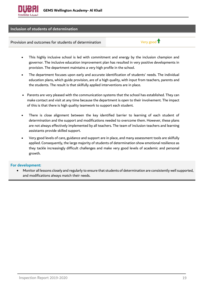

#### **Inclusion of students of determination**

Provision and outcomes for students of determination  $V$ ery good  $\mathbf T$ 

- This highly inclusive school is led with commitment and energy by the inclusion champion and governor. The inclusive education improvement plan has resulted in very positive developments in provision. The department maintains a very high profile in the school.
- The department focuses upon early and accurate identification of students' needs. The individual education plans, which guide provision, are of a high quality, with input from teachers, parents and the students. The result is that skilfully applied interventions are in place.
- Parents are very pleased with the communication systems that the school has established. They can make contact and visit at any time because the department is open to their involvement. The impact of this is that there is high quality teamwork to support each student.
- There is close alignment between the key identified barrier to learning of each student of determination and the support and modifications needed to overcome them. However, these plans are not always effectively implemented by all teachers. The team of inclusion teachers and learning assistants provide skilled support.
- Very good levels of care, guidance and support are in place, and many assessment tools are skilfully applied. Consequently, the large majority of students of determination show emotional resilience as they tackle increasingly difficult challenges and make very good levels of academic and personal growth.

#### **For development:**

• Monitor all lessons closely and regularly to ensure that students of determination are consistently well supported, and modifications always match their needs.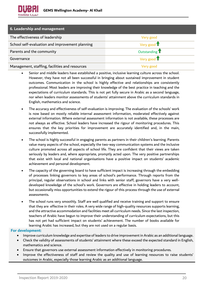

| 6. Leadership and management                    |                              |
|-------------------------------------------------|------------------------------|
| The effectiveness of leadership                 | Very good                    |
| School self-evaluation and improvement planning | Very good $\mathbf T$        |
| Parents and the community                       | Outstanding T                |
| Governance                                      | Very good $\hat{\mathbf{T}}$ |
| Management, staffing, facilities and resources  | Very good                    |

• Senior and middle leaders have established a positive, inclusive learning culture across the school. However, they have not all been successful in bringing about sustained improvement in student outcomes. Communication in the school is highly effective and relationships are consistently professional. Most leaders are improving their knowledge of the best practice in teaching and the expectations of curriculum standards. This is not yet fully secure in Arabic as a second language, nor when leaders monitor assessments of students' attainment above the curriculum standards in English, mathematics and science.

- The accuracy and effectiveness of self-evaluation is improving. The evaluation of the schools' work is now based on mostly reliable internal assessment information, moderated effectively against external information. Where external assessment information is not available, these processes are not always as effective. School leaders have increased the rigour of monitoring procedures. This ensures that the key priorities for improvement are accurately identified and, in the main, successfully implemented.
- The school is highly successful in engaging parents as partners in their children's learning. Parents value many aspects of the school, especially the two-way communication systems and the inclusive culture promoted across all aspects of school life. They are confident that their views are taken seriously by leaders and, where appropriate, promptly acted upon. The very positive partnerships that exist with local and national organisations have a positive impact on students' academic achievement and personal development.
- The capacity of the governing board to have sufficient impact is increasing through the embedding of processes linking governors to key areas of school's performance. Through reports from the principal, regular observations in school and links with senior staff, governors have a very welldeveloped knowledge of the school's work. Governors are effective in holding leaders to account, but occasionally miss opportunities to extend the rigour of this process through the use of external assessments.
- The school runs very smoothly. Staff are well qualified and receive training and support to ensure that they are effective in their roles. A very wide range of high-quality resources supports learning, and the attractive accommodation and facilities meet all curriculum needs. Since the last inspection, teachers of Arabic have begun to improve their understanding of curriculum expectations, but this has not yet had sufficient impact on students' achievement. The number of books available for learning Arabic has increased, but they are not used on a regular basis.

- Improve curriculum knowledge and expertise of leaders to drive improvement in Arabic as an additional language.
- Check the validity of assessments of students' attainment where these exceed the expected standard in English, mathematics and science.
- Ensure that governors use external assessment information effectively in monitoring procedures.
- Improve the effectiveness of staff and review the quality and use of learning resources to raise students' outcomes in Arabic, especially those learning Arabic as an additional language.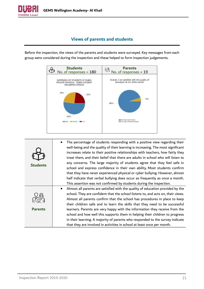

# **Views of parents and students**

<span id="page-20-0"></span>Before the inspection, the views of the parents and students were surveyed. Key messages from each group were considered during the inspection and these helped to form inspection judgements.



| <b>Students</b> | The percentage of students responding with a positive view regarding their<br>well-being and the quality of their learning is increasing. The most significant<br>increases relate to their positive relationships with teachers, how fairly they<br>treat them, and their belief that there are adults in school who will listen to<br>any concerns. The large majority of students agree that they feel safe in<br>school and express confidence in their own ability. Most students confirm<br>that they have never experienced physical or cyber bullying. However, almost<br>half indicate that verbal bullying does occur as frequently as once a month.<br>This assertion was not confirmed by students during the inspection. |
|-----------------|---------------------------------------------------------------------------------------------------------------------------------------------------------------------------------------------------------------------------------------------------------------------------------------------------------------------------------------------------------------------------------------------------------------------------------------------------------------------------------------------------------------------------------------------------------------------------------------------------------------------------------------------------------------------------------------------------------------------------------------|
| <b>Parents</b>  | Almost all parents are satisfied with the quality of education provided by the<br>$\bullet$<br>school. They are confident that the school listens to, and acts on, their views.<br>Almost all parents confirm that the school has procedures in place to keep<br>their children safe and to learn the skills that they need to be successful<br>learners. Parents are very happy with the information they receive from the<br>school and how well this supports them in helping their children to progress<br>in their learning. A majority of parents who responded to the survey indicate<br>that they are involved in activities in school at least once per month.                                                               |